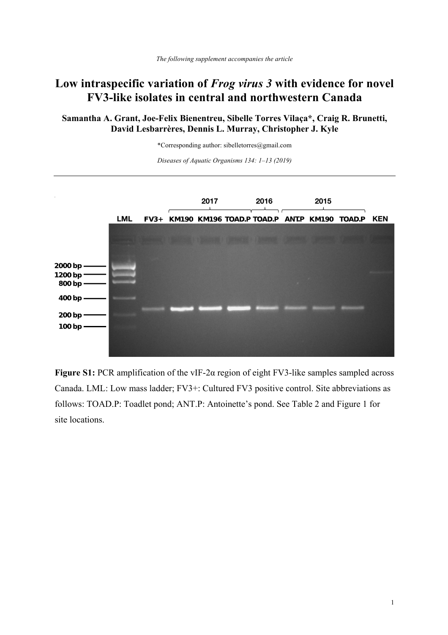## **Low intraspecific variation of** *Frog virus 3* **with evidence for novel FV3-like isolates in central and northwestern Canada**

## **Samantha A. Grant, Joe-Felix Bienentreu, Sibelle Torres Vilaça\*, Craig R. Brunetti, David Lesbarrères, Dennis L. Murray, Christopher J. Kyle**

\*Corresponding author: sibelletorres@gmail.com

*Diseases of Aquatic Organisms 134: 1–13 (2019)*



**Figure S1:** PCR amplification of the vIF-2α region of eight FV3-like samples sampled across Canada. LML: Low mass ladder; FV3+: Cultured FV3 positive control. Site abbreviations as follows: TOAD.P: Toadlet pond; ANT.P: Antoinette's pond. See Table 2 and Figure 1 for site locations.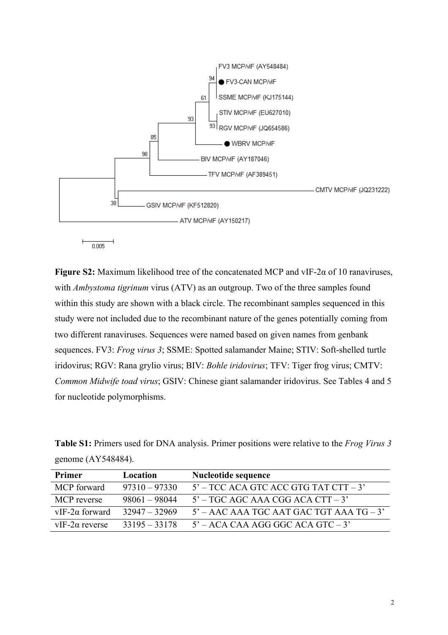

**Figure S2:** Maximum likelihood tree of the concatenated MCP and vIF-2α of 10 ranaviruses, with *Ambystoma tigrinum* virus (ATV) as an outgroup. Two of the three samples found within this study are shown with a black circle. The recombinant samples sequenced in this study were not included due to the recombinant nature of the genes potentially coming from two different ranaviruses. Sequences were named based on given names from genbank sequences. FV3: *Frog virus 3*; SSME: Spotted salamander Maine; STIV: Soft-shelled turtle iridovirus; RGV: Rana grylio virus; BIV: *Bohle iridovirus*; TFV: Tiger frog virus; CMTV: *Common Midwife toad virus*; GSIV: Chinese giant salamander iridovirus. See Tables 4 and 5 for nucleotide polymorphisms.

|                    |  | <b>Table S1:</b> Primers used for DNA analysis. Primer positions were relative to the <i>Frog Virus 3</i> |  |  |
|--------------------|--|-----------------------------------------------------------------------------------------------------------|--|--|
| genome (AY548484). |  |                                                                                                           |  |  |

| <b>Primer</b>         | Location        | Nucleotide sequence                        |
|-----------------------|-----------------|--------------------------------------------|
| <b>MCP</b> forward    | $97310 - 97330$ | $5'$ – TCC ACA GTC ACC GTG TAT CTT – 3'    |
| MCP reverse           | $98061 - 98044$ | $5'$ – TGC AGC AAA CGG ACA CTT – 3'        |
| $vIF-2\alpha$ forward | $32947 - 32969$ | $5'$ – AAC AAA TGC AAT GAC TGT AAA TG – 3' |
| $vIF-2\alpha$ reverse | $33195 - 33178$ | $5'$ – ACA CAA AGG GGC ACA GTC – 3'        |